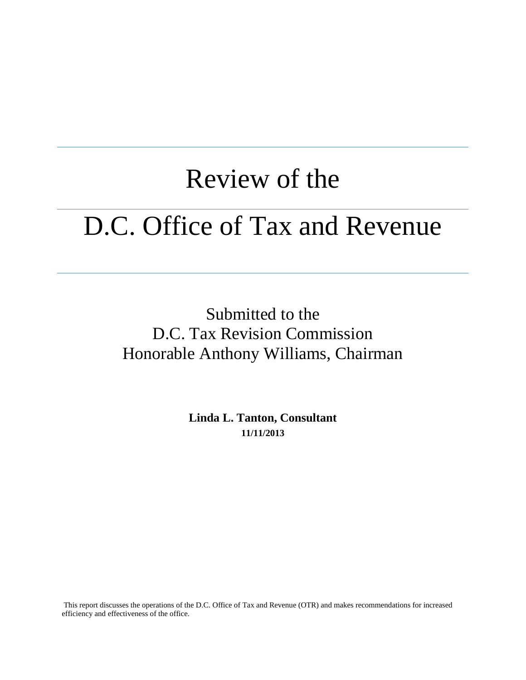# Review of the D.C. Office of Tax and Revenue

Submitted to the D.C. Tax Revision Commission Honorable Anthony Williams, Chairman

> **Linda L. Tanton, Consultant 11/11/2013**

This report discusses the operations of the D.C. Office of Tax and Revenue (OTR) and makes recommendations for increased efficiency and effectiveness of the office.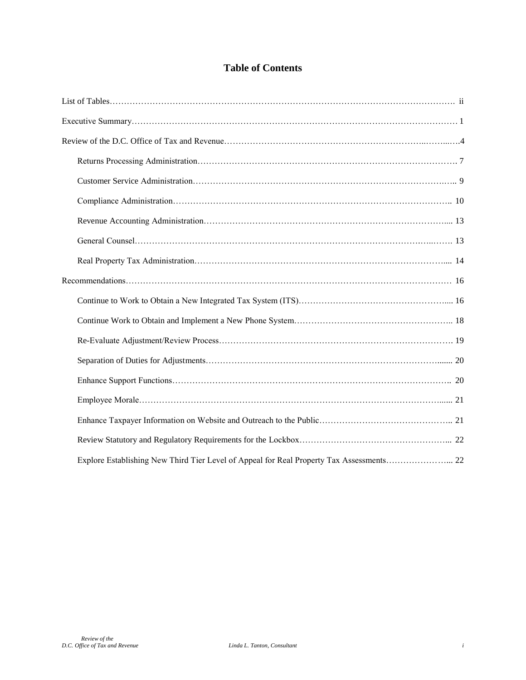## **Table of Contents**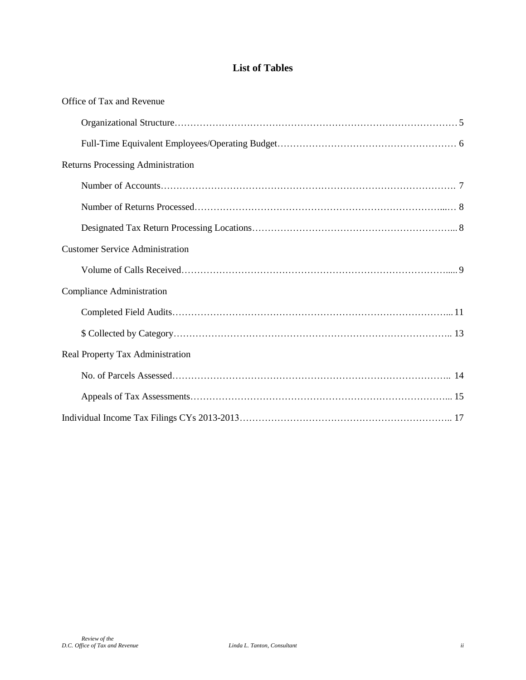# **List of Tables**

| Office of Tax and Revenue              |  |
|----------------------------------------|--|
|                                        |  |
|                                        |  |
| Returns Processing Administration      |  |
|                                        |  |
|                                        |  |
|                                        |  |
| <b>Customer Service Administration</b> |  |
|                                        |  |
| <b>Compliance Administration</b>       |  |
|                                        |  |
|                                        |  |
| Real Property Tax Administration       |  |
|                                        |  |
|                                        |  |
|                                        |  |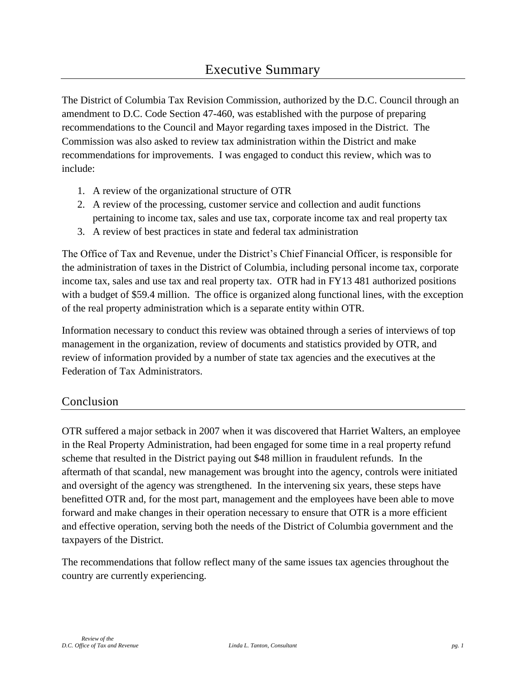The District of Columbia Tax Revision Commission, authorized by the D.C. Council through an amendment to D.C. Code Section 47-460, was established with the purpose of preparing recommendations to the Council and Mayor regarding taxes imposed in the District. The Commission was also asked to review tax administration within the District and make recommendations for improvements. I was engaged to conduct this review, which was to include:

- 1. A review of the organizational structure of OTR
- 2. A review of the processing, customer service and collection and audit functions pertaining to income tax, sales and use tax, corporate income tax and real property tax
- 3. A review of best practices in state and federal tax administration

The Office of Tax and Revenue, under the District's Chief Financial Officer, is responsible for the administration of taxes in the District of Columbia, including personal income tax, corporate income tax, sales and use tax and real property tax. OTR had in FY13 481 authorized positions with a budget of \$59.4 million. The office is organized along functional lines, with the exception of the real property administration which is a separate entity within OTR.

Information necessary to conduct this review was obtained through a series of interviews of top management in the organization, review of documents and statistics provided by OTR, and review of information provided by a number of state tax agencies and the executives at the Federation of Tax Administrators.

## Conclusion

OTR suffered a major setback in 2007 when it was discovered that Harriet Walters, an employee in the Real Property Administration, had been engaged for some time in a real property refund scheme that resulted in the District paying out \$48 million in fraudulent refunds. In the aftermath of that scandal, new management was brought into the agency, controls were initiated and oversight of the agency was strengthened. In the intervening six years, these steps have benefitted OTR and, for the most part, management and the employees have been able to move forward and make changes in their operation necessary to ensure that OTR is a more efficient and effective operation, serving both the needs of the District of Columbia government and the taxpayers of the District.

The recommendations that follow reflect many of the same issues tax agencies throughout the country are currently experiencing.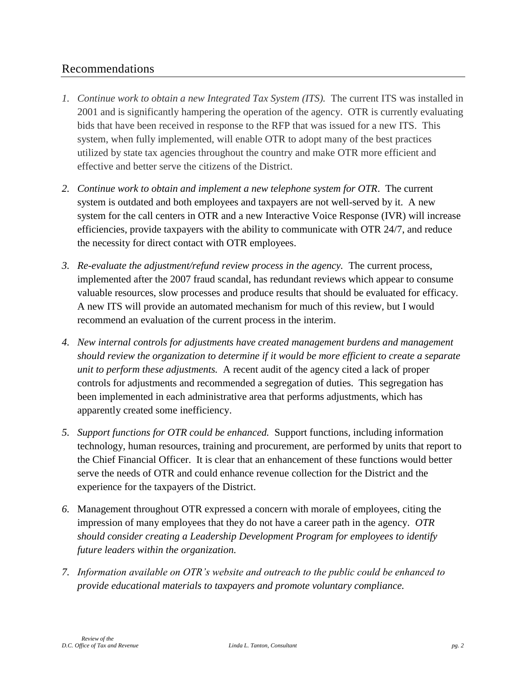## Recommendations

- *1. Continue work to obtain a new Integrated Tax System (ITS).* The current ITS was installed in 2001 and is significantly hampering the operation of the agency. OTR is currently evaluating bids that have been received in response to the RFP that was issued for a new ITS. This system, when fully implemented, will enable OTR to adopt many of the best practices utilized by state tax agencies throughout the country and make OTR more efficient and effective and better serve the citizens of the District.
- *2. Continue work to obtain and implement a new telephone system for OTR*. The current system is outdated and both employees and taxpayers are not well-served by it. A new system for the call centers in OTR and a new Interactive Voice Response (IVR) will increase efficiencies, provide taxpayers with the ability to communicate with OTR 24/7, and reduce the necessity for direct contact with OTR employees.
- *3. Re-evaluate the adjustment/refund review process in the agency.* The current process, implemented after the 2007 fraud scandal, has redundant reviews which appear to consume valuable resources, slow processes and produce results that should be evaluated for efficacy. A new ITS will provide an automated mechanism for much of this review, but I would recommend an evaluation of the current process in the interim.
- *4. New internal controls for adjustments have created management burdens and management should review the organization to determine if it would be more efficient to create a separate unit to perform these adjustments.* A recent audit of the agency cited a lack of proper controls for adjustments and recommended a segregation of duties. This segregation has been implemented in each administrative area that performs adjustments, which has apparently created some inefficiency.
- *5. Support functions for OTR could be enhanced.* Support functions, including information technology, human resources, training and procurement, are performed by units that report to the Chief Financial Officer. It is clear that an enhancement of these functions would better serve the needs of OTR and could enhance revenue collection for the District and the experience for the taxpayers of the District.
- *6.* Management throughout OTR expressed a concern with morale of employees, citing the impression of many employees that they do not have a career path in the agency. *OTR should consider creating a Leadership Development Program for employees to identify future leaders within the organization.*
- *7. Information available on OTR's website and outreach to the public could be enhanced to provide educational materials to taxpayers and promote voluntary compliance.*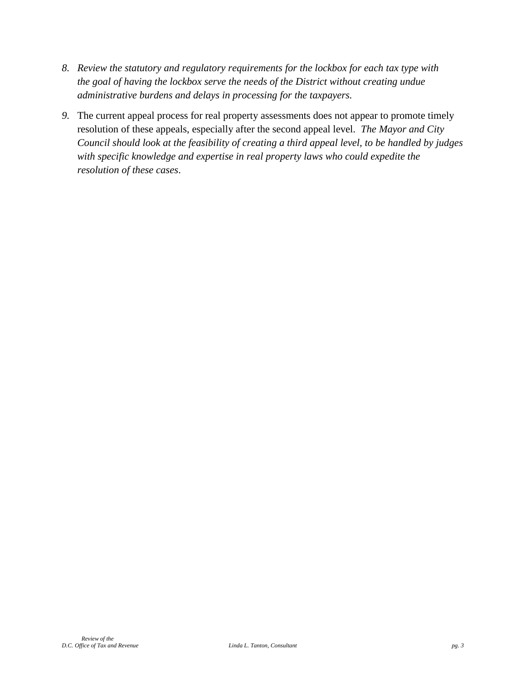- *8. Review the statutory and regulatory requirements for the lockbox for each tax type with the goal of having the lockbox serve the needs of the District without creating undue administrative burdens and delays in processing for the taxpayers.*
- *9.* The current appeal process for real property assessments does not appear to promote timely resolution of these appeals, especially after the second appeal level. *The Mayor and City Council should look at the feasibility of creating a third appeal level, to be handled by judges*  with specific knowledge and expertise in real property laws who could expedite the *resolution of these cases*.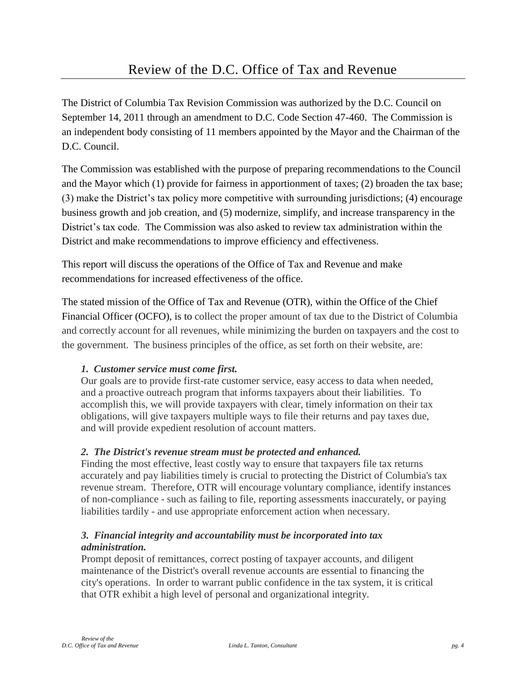The District of Columbia Tax Revision Commission was authorized by the D.C. Council on September 14, 2011 through an amendment to D.C. Code Section 47-460. The Commission is an independent body consisting of 11 members appointed by the Mayor and the Chairman of the D.C. Council.

The Commission was established with the purpose of preparing recommendations to the Council and the Mayor which (1) provide for fairness in apportionment of taxes; (2) broaden the tax base; (3) make the District's tax policy more competitive with surrounding jurisdictions; (4) encourage business growth and job creation, and (5) modernize, simplify, and increase transparency in the District's tax code. The Commission was also asked to review tax administration within the District and make recommendations to improve efficiency and effectiveness.

This report will discuss the operations of the Office of Tax and Revenue and make recommendations for increased effectiveness of the office.

The stated mission of the Office of Tax and Revenue (OTR), within the Office of the Chief Financial Officer (OCFO), is to collect the proper amount of tax due to the District of Columbia and correctly account for all revenues, while minimizing the burden on taxpayers and the cost to the government. The business principles of the office, as set forth on their website, are:

## *1. Customer service must come first.*

Our goals are to provide first-rate customer service, easy access to data when needed, and a proactive outreach program that informs taxpayers about their liabilities. To accomplish this, we will provide taxpayers with clear, timely information on their tax obligations, will give taxpayers multiple ways to file their returns and pay taxes due, and will provide expedient resolution of account matters.

## *2. The District's revenue stream must be protected and enhanced.*

Finding the most effective, least costly way to ensure that taxpayers file tax returns accurately and pay liabilities timely is crucial to protecting the District of Columbia's tax revenue stream. Therefore, OTR will encourage voluntary compliance, identify instances of non-compliance - such as failing to file, reporting assessments inaccurately, or paying liabilities tardily - and use appropriate enforcement action when necessary.

#### *3. Financial integrity and accountability must be incorporated into tax administration.*

Prompt deposit of remittances, correct posting of taxpayer accounts, and diligent maintenance of the District's overall revenue accounts are essential to financing the city's operations. In order to warrant public confidence in the tax system, it is critical that OTR exhibit a high level of personal and organizational integrity.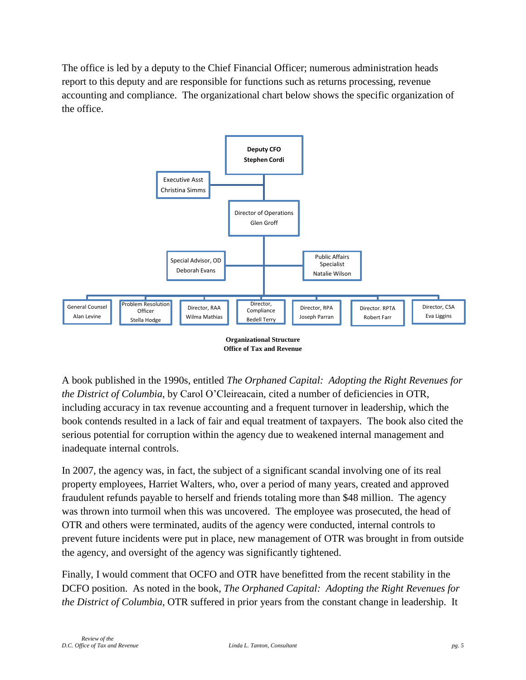The office is led by a deputy to the Chief Financial Officer; numerous administration heads report to this deputy and are responsible for functions such as returns processing, revenue accounting and compliance. The organizational chart below shows the specific organization of the office.



**Office of Tax and Revenue**

A book published in the 1990s, entitled *The Orphaned Capital: Adopting the Right Revenues for the District of Columbia*, by Carol O'Cleireacain, cited a number of deficiencies in OTR, including accuracy in tax revenue accounting and a frequent turnover in leadership, which the book contends resulted in a lack of fair and equal treatment of taxpayers. The book also cited the serious potential for corruption within the agency due to weakened internal management and inadequate internal controls.

In 2007, the agency was, in fact, the subject of a significant scandal involving one of its real property employees, Harriet Walters, who, over a period of many years, created and approved fraudulent refunds payable to herself and friends totaling more than \$48 million. The agency was thrown into turmoil when this was uncovered. The employee was prosecuted, the head of OTR and others were terminated, audits of the agency were conducted, internal controls to prevent future incidents were put in place, new management of OTR was brought in from outside the agency, and oversight of the agency was significantly tightened.

Finally, I would comment that OCFO and OTR have benefitted from the recent stability in the DCFO position. As noted in the book*, The Orphaned Capital: Adopting the Right Revenues for the District of Columbia*, OTR suffered in prior years from the constant change in leadership. It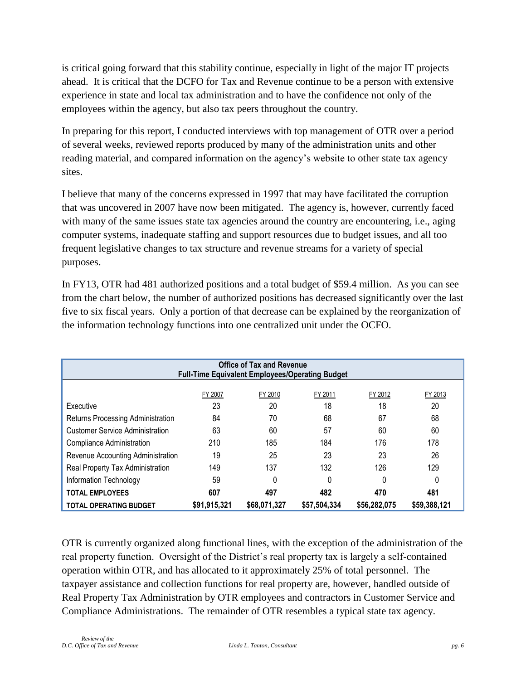is critical going forward that this stability continue, especially in light of the major IT projects ahead. It is critical that the DCFO for Tax and Revenue continue to be a person with extensive experience in state and local tax administration and to have the confidence not only of the employees within the agency, but also tax peers throughout the country.

In preparing for this report, I conducted interviews with top management of OTR over a period of several weeks, reviewed reports produced by many of the administration units and other reading material, and compared information on the agency's website to other state tax agency sites.

I believe that many of the concerns expressed in 1997 that may have facilitated the corruption that was uncovered in 2007 have now been mitigated. The agency is, however, currently faced with many of the same issues state tax agencies around the country are encountering, i.e., aging computer systems, inadequate staffing and support resources due to budget issues, and all too frequent legislative changes to tax structure and revenue streams for a variety of special purposes.

In FY13, OTR had 481 authorized positions and a total budget of \$59.4 million. As you can see from the chart below, the number of authorized positions has decreased significantly over the last five to six fiscal years. Only a portion of that decrease can be explained by the reorganization of the information technology functions into one centralized unit under the OCFO.

| <b>Office of Tax and Revenue</b><br><b>Full-Time Equivalent Employees/Operating Budget</b> |              |              |              |              |              |  |  |
|--------------------------------------------------------------------------------------------|--------------|--------------|--------------|--------------|--------------|--|--|
| FY 2011<br>FY 2007<br>FY 2010<br>FY 2012<br>FY 2013                                        |              |              |              |              |              |  |  |
| Executive                                                                                  | 23           | 20           | 18           | 18           | 20           |  |  |
| Returns Processing Administration                                                          | 84           | 70           | 68           | 67           | 68           |  |  |
| <b>Customer Service Administration</b>                                                     | 63           | 60           | 57           | 60           | 60           |  |  |
| Compliance Administration                                                                  | 210          | 185          | 184          | 176          | 178          |  |  |
| Revenue Accounting Administration                                                          | 19           | 25           | 23           | 23           | 26           |  |  |
| Real Property Tax Administration                                                           | 149          | 137          | 132          | 126          | 129          |  |  |
| 59<br>0<br>0<br>Information Technology<br>0<br>0                                           |              |              |              |              |              |  |  |
| 607<br>497<br>482<br>470<br>481<br><b>TOTAL EMPLOYEES</b>                                  |              |              |              |              |              |  |  |
| <b>TOTAL OPERATING BUDGET</b>                                                              | \$91,915,321 | \$68,071,327 | \$57,504,334 | \$56,282,075 | \$59,388,121 |  |  |

OTR is currently organized along functional lines, with the exception of the administration of the real property function. Oversight of the District's real property tax is largely a self-contained operation within OTR, and has allocated to it approximately 25% of total personnel. The taxpayer assistance and collection functions for real property are, however, handled outside of Real Property Tax Administration by OTR employees and contractors in Customer Service and Compliance Administrations. The remainder of OTR resembles a typical state tax agency.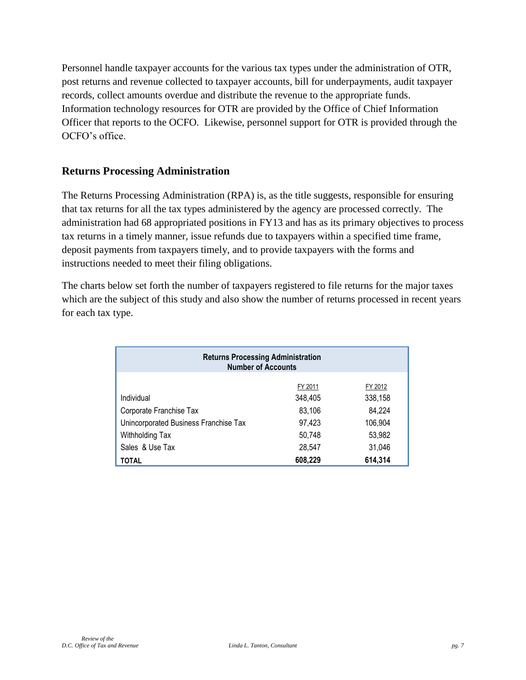Personnel handle taxpayer accounts for the various tax types under the administration of OTR, post returns and revenue collected to taxpayer accounts, bill for underpayments, audit taxpayer records, collect amounts overdue and distribute the revenue to the appropriate funds. Information technology resources for OTR are provided by the Office of Chief Information Officer that reports to the OCFO. Likewise, personnel support for OTR is provided through the OCFO's office.

#### **Returns Processing Administration**

The Returns Processing Administration (RPA) is, as the title suggests, responsible for ensuring that tax returns for all the tax types administered by the agency are processed correctly. The administration had 68 appropriated positions in FY13 and has as its primary objectives to process tax returns in a timely manner, issue refunds due to taxpayers within a specified time frame, deposit payments from taxpayers timely, and to provide taxpayers with the forms and instructions needed to meet their filing obligations.

The charts below set forth the number of taxpayers registered to file returns for the major taxes which are the subject of this study and also show the number of returns processed in recent years for each tax type.

| <b>Returns Processing Administration</b><br><b>Number of Accounts</b> |         |         |  |  |  |  |
|-----------------------------------------------------------------------|---------|---------|--|--|--|--|
| FY 2012<br>FY 2011                                                    |         |         |  |  |  |  |
| Individual                                                            | 348,405 | 338,158 |  |  |  |  |
| Corporate Franchise Tax                                               | 83,106  | 84,224  |  |  |  |  |
| Unincorporated Business Franchise Tax                                 | 97.423  | 106,904 |  |  |  |  |
| Withholding Tax                                                       | 50.748  | 53,982  |  |  |  |  |
| Sales & Use Tax<br>28,547<br>31,046                                   |         |         |  |  |  |  |
| TOTAL                                                                 | 608,229 | 614,314 |  |  |  |  |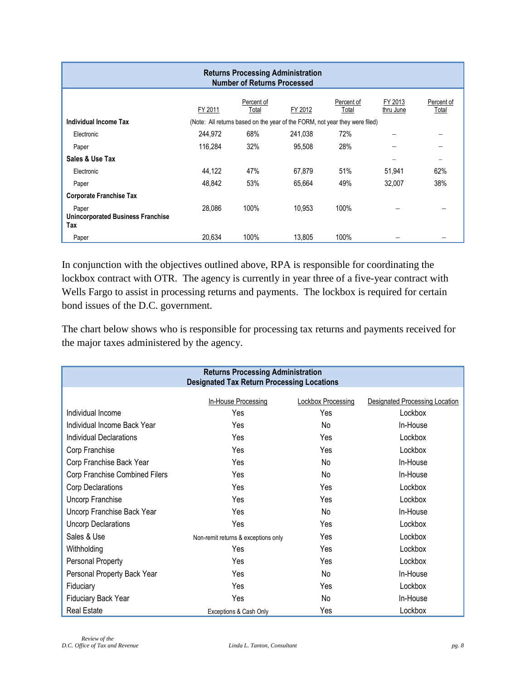| <b>Returns Processing Administration</b><br><b>Number of Returns Processed</b> |         |                     |                                                                             |                     |                      |                     |
|--------------------------------------------------------------------------------|---------|---------------------|-----------------------------------------------------------------------------|---------------------|----------------------|---------------------|
|                                                                                | FY 2011 | Percent of<br>Total | FY 2012                                                                     | Percent of<br>Total | FY 2013<br>thru June | Percent of<br>Total |
| Individual Income Tax                                                          |         |                     | (Note: All returns based on the year of the FORM, not year they were filed) |                     |                      |                     |
| Electronic                                                                     | 244,972 | 68%                 | 241,038                                                                     | 72%                 |                      |                     |
| Paper                                                                          | 116.284 | 32%                 | 95.508                                                                      | 28%                 |                      |                     |
| Sales & Use Tax                                                                |         |                     |                                                                             |                     |                      | $\equiv$            |
| Electronic                                                                     | 44,122  | 47%                 | 67,879                                                                      | 51%                 | 51,941               | 62%                 |
| Paper                                                                          | 48,842  | 53%                 | 65.664                                                                      | 49%                 | 32,007               | 38%                 |
| <b>Corporate Franchise Tax</b>                                                 |         |                     |                                                                             |                     |                      |                     |
| Paper<br><b>Unincorporated Business Franchise</b><br>Tax                       | 28.086  | 100%                | 10.953                                                                      | 100%                |                      |                     |
| Paper                                                                          | 20,634  | 100%                | 13,805                                                                      | 100%                |                      |                     |

In conjunction with the objectives outlined above, RPA is responsible for coordinating the lockbox contract with OTR. The agency is currently in year three of a five-year contract with Wells Fargo to assist in processing returns and payments. The lockbox is required for certain bond issues of the D.C. government.

The chart below shows who is responsible for processing tax returns and payments received for the major taxes administered by the agency.

| <b>Returns Processing Administration</b> |                                                   |                           |                                       |  |  |  |
|------------------------------------------|---------------------------------------------------|---------------------------|---------------------------------------|--|--|--|
|                                          | <b>Designated Tax Return Processing Locations</b> |                           |                                       |  |  |  |
|                                          |                                                   |                           |                                       |  |  |  |
|                                          | In-House Processing                               | <b>Lockbox Processing</b> | <b>Designated Processing Location</b> |  |  |  |
| Individual Income                        | Yes                                               | Yes                       | Lockbox                               |  |  |  |
| Individual Income Back Year              | Yes                                               | No                        | In-House                              |  |  |  |
| Individual Declarations                  | Yes                                               | Yes                       | Lockbox                               |  |  |  |
| Corp Franchise                           | Yes                                               | Yes                       | Lockbox                               |  |  |  |
| Corp Franchise Back Year                 | Yes                                               | No                        | In-House                              |  |  |  |
| Corp Franchise Combined Filers           | Yes                                               | No                        | In-House                              |  |  |  |
| Corp Declarations                        | Yes                                               | Yes                       | Lockbox                               |  |  |  |
| Uncorp Franchise                         | Yes                                               | Yes                       | Lockbox                               |  |  |  |
| Uncorp Franchise Back Year               | Yes                                               | N <sub>o</sub>            | In-House                              |  |  |  |
| <b>Uncorp Declarations</b>               | Yes                                               | Yes                       | Lockbox                               |  |  |  |
| Sales & Use                              | Non-remit returns & exceptions only               | Yes                       | Lockbox                               |  |  |  |
| Withholding                              | Yes                                               | Yes                       | Lockbox                               |  |  |  |
| Personal Property                        | Yes                                               | Yes                       | Lockbox                               |  |  |  |
| Personal Property Back Year              | Yes                                               | No                        | In-House                              |  |  |  |
| Fiduciary                                | Yes                                               | Yes                       | Lockbox                               |  |  |  |
| Fiduciary Back Year                      | Yes                                               | No                        | In-House                              |  |  |  |
| <b>Real Estate</b>                       | Exceptions & Cash Only                            | Yes                       | Lockbox                               |  |  |  |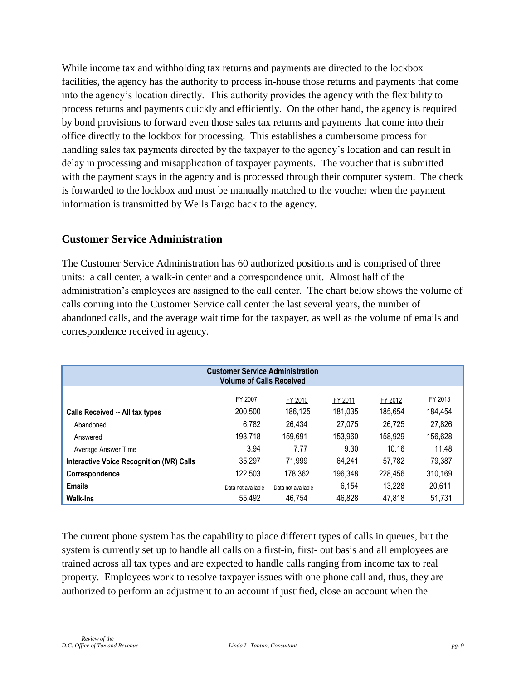While income tax and withholding tax returns and payments are directed to the lockbox facilities, the agency has the authority to process in-house those returns and payments that come into the agency's location directly. This authority provides the agency with the flexibility to process returns and payments quickly and efficiently. On the other hand, the agency is required by bond provisions to forward even those sales tax returns and payments that come into their office directly to the lockbox for processing. This establishes a cumbersome process for handling sales tax payments directed by the taxpayer to the agency's location and can result in delay in processing and misapplication of taxpayer payments. The voucher that is submitted with the payment stays in the agency and is processed through their computer system. The check is forwarded to the lockbox and must be manually matched to the voucher when the payment information is transmitted by Wells Fargo back to the agency.

#### **Customer Service Administration**

The Customer Service Administration has 60 authorized positions and is comprised of three units: a call center, a walk-in center and a correspondence unit. Almost half of the administration's employees are assigned to the call center. The chart below shows the volume of calls coming into the Customer Service call center the last several years, the number of abandoned calls, and the average wait time for the taxpayer, as well as the volume of emails and correspondence received in agency.

| <b>Customer Service Administration</b><br><b>Volume of Calls Received</b> |                    |                    |                    |                    |                    |  |  |
|---------------------------------------------------------------------------|--------------------|--------------------|--------------------|--------------------|--------------------|--|--|
| Calls Received -- All tax types                                           | FY 2007<br>200,500 | FY 2010<br>186,125 | FY 2011<br>181,035 | FY 2012<br>185.654 | FY 2013<br>184,454 |  |  |
| Abandoned                                                                 | 6,782              | 26.434             | 27.075             | 26.725             | 27,826             |  |  |
| Answered<br>Average Answer Time                                           | 193,718<br>3.94    | 159.691<br>7.77    | 153.960<br>9.30    | 158.929<br>10.16   | 156,628<br>11.48   |  |  |
| <b>Interactive Voice Recognition (IVR) Calls</b>                          | 35,297             | 71,999             | 64.241             | 57,782             | 79,387             |  |  |
| Correspondence                                                            | 122.503            | 178.362            | 196,348            | 228,456            | 310.169            |  |  |
| <b>Emails</b>                                                             | Data not available | Data not available | 6.154              | 13,228             | 20,611             |  |  |
| <b>Walk-Ins</b>                                                           | 55.492             | 46,754             | 46,828             | 47,818             | 51,731             |  |  |

The current phone system has the capability to place different types of calls in queues, but the system is currently set up to handle all calls on a first-in, first- out basis and all employees are trained across all tax types and are expected to handle calls ranging from income tax to real property. Employees work to resolve taxpayer issues with one phone call and, thus, they are authorized to perform an adjustment to an account if justified, close an account when the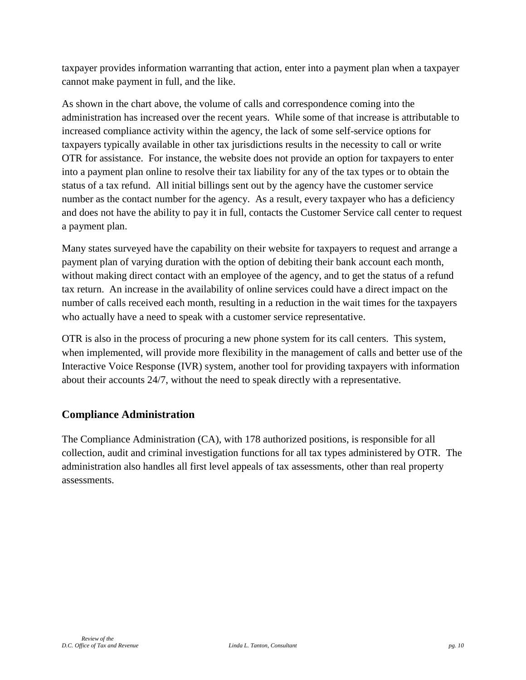taxpayer provides information warranting that action, enter into a payment plan when a taxpayer cannot make payment in full, and the like.

As shown in the chart above, the volume of calls and correspondence coming into the administration has increased over the recent years. While some of that increase is attributable to increased compliance activity within the agency, the lack of some self-service options for taxpayers typically available in other tax jurisdictions results in the necessity to call or write OTR for assistance. For instance, the website does not provide an option for taxpayers to enter into a payment plan online to resolve their tax liability for any of the tax types or to obtain the status of a tax refund. All initial billings sent out by the agency have the customer service number as the contact number for the agency. As a result, every taxpayer who has a deficiency and does not have the ability to pay it in full, contacts the Customer Service call center to request a payment plan.

Many states surveyed have the capability on their website for taxpayers to request and arrange a payment plan of varying duration with the option of debiting their bank account each month, without making direct contact with an employee of the agency, and to get the status of a refund tax return. An increase in the availability of online services could have a direct impact on the number of calls received each month, resulting in a reduction in the wait times for the taxpayers who actually have a need to speak with a customer service representative.

OTR is also in the process of procuring a new phone system for its call centers. This system, when implemented, will provide more flexibility in the management of calls and better use of the Interactive Voice Response (IVR) system, another tool for providing taxpayers with information about their accounts 24/7, without the need to speak directly with a representative.

## **Compliance Administration**

The Compliance Administration (CA), with 178 authorized positions, is responsible for all collection, audit and criminal investigation functions for all tax types administered by OTR. The administration also handles all first level appeals of tax assessments, other than real property assessments.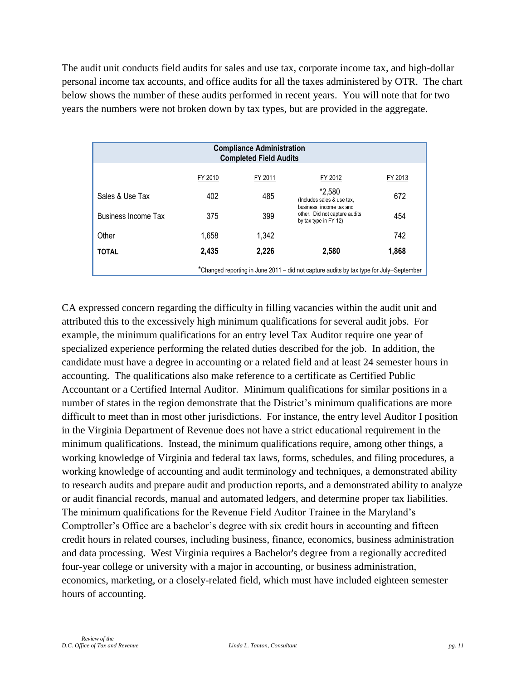The audit unit conducts field audits for sales and use tax, corporate income tax, and high-dollar personal income tax accounts, and office audits for all the taxes administered by OTR. The chart below shows the number of these audits performed in recent years. You will note that for two years the numbers were not broken down by tax types, but are provided in the aggregate.

| <b>Compliance Administration</b><br><b>Completed Field Audits</b>                       |         |         |                                                                                   |         |  |  |  |
|-----------------------------------------------------------------------------------------|---------|---------|-----------------------------------------------------------------------------------|---------|--|--|--|
|                                                                                         | FY 2010 | FY 2011 | FY 2012                                                                           | FY 2013 |  |  |  |
| Sales & Use Tax                                                                         | 402     | 485     | *2,580<br>(Includes sales & use tax,                                              | 672     |  |  |  |
| <b>Business Income Tax</b>                                                              | 375     | 399     | business income tax and<br>other. Did not capture audits<br>by tax type in FY 12) | 454     |  |  |  |
| Other                                                                                   | 1,658   | 1,342   |                                                                                   | 742     |  |  |  |
| <b>TOTAL</b>                                                                            | 2,435   | 2,226   | 2.580                                                                             | 1,868   |  |  |  |
| *Changed reporting in June 2011 – did not capture audits by tax type for July–September |         |         |                                                                                   |         |  |  |  |

CA expressed concern regarding the difficulty in filling vacancies within the audit unit and attributed this to the excessively high minimum qualifications for several audit jobs. For example, the minimum qualifications for an entry level Tax Auditor require one year of specialized experience performing the related duties described for the job. In addition, the candidate must have a degree in accounting or a related field and at least 24 semester hours in accounting. The qualifications also make reference to a certificate as Certified Public Accountant or a Certified Internal Auditor. Minimum qualifications for similar positions in a number of states in the region demonstrate that the District's minimum qualifications are more difficult to meet than in most other jurisdictions. For instance, the entry level Auditor I position in the Virginia Department of Revenue does not have a strict educational requirement in the minimum qualifications. Instead, the minimum qualifications require, among other things, a working knowledge of Virginia and federal tax laws, forms, schedules, and filing procedures, a working knowledge of accounting and audit terminology and techniques, a demonstrated ability to research audits and prepare audit and production reports, and a demonstrated ability to analyze or audit financial records, manual and automated ledgers, and determine proper tax liabilities. The minimum qualifications for the Revenue Field Auditor Trainee in the Maryland's Comptroller's Office are a bachelor's degree with six credit hours in accounting and fifteen credit hours in related courses, including business, finance, economics, business administration and data processing. West Virginia requires a Bachelor's degree from a regionally accredited four-year college or university with a major in accounting, or business administration, economics, marketing, or a closely-related field, which must have included eighteen semester hours of accounting.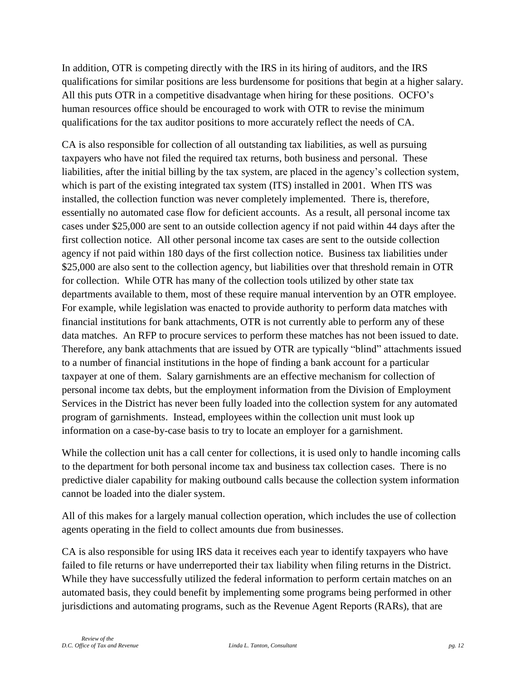In addition, OTR is competing directly with the IRS in its hiring of auditors, and the IRS qualifications for similar positions are less burdensome for positions that begin at a higher salary. All this puts OTR in a competitive disadvantage when hiring for these positions. OCFO's human resources office should be encouraged to work with OTR to revise the minimum qualifications for the tax auditor positions to more accurately reflect the needs of CA.

CA is also responsible for collection of all outstanding tax liabilities, as well as pursuing taxpayers who have not filed the required tax returns, both business and personal. These liabilities, after the initial billing by the tax system, are placed in the agency's collection system, which is part of the existing integrated tax system (ITS) installed in 2001. When ITS was installed, the collection function was never completely implemented. There is, therefore, essentially no automated case flow for deficient accounts. As a result, all personal income tax cases under \$25,000 are sent to an outside collection agency if not paid within 44 days after the first collection notice. All other personal income tax cases are sent to the outside collection agency if not paid within 180 days of the first collection notice. Business tax liabilities under \$25,000 are also sent to the collection agency, but liabilities over that threshold remain in OTR for collection. While OTR has many of the collection tools utilized by other state tax departments available to them, most of these require manual intervention by an OTR employee. For example, while legislation was enacted to provide authority to perform data matches with financial institutions for bank attachments, OTR is not currently able to perform any of these data matches. An RFP to procure services to perform these matches has not been issued to date. Therefore, any bank attachments that are issued by OTR are typically "blind" attachments issued to a number of financial institutions in the hope of finding a bank account for a particular taxpayer at one of them. Salary garnishments are an effective mechanism for collection of personal income tax debts, but the employment information from the Division of Employment Services in the District has never been fully loaded into the collection system for any automated program of garnishments. Instead, employees within the collection unit must look up information on a case-by-case basis to try to locate an employer for a garnishment.

While the collection unit has a call center for collections, it is used only to handle incoming calls to the department for both personal income tax and business tax collection cases. There is no predictive dialer capability for making outbound calls because the collection system information cannot be loaded into the dialer system.

All of this makes for a largely manual collection operation, which includes the use of collection agents operating in the field to collect amounts due from businesses.

CA is also responsible for using IRS data it receives each year to identify taxpayers who have failed to file returns or have underreported their tax liability when filing returns in the District. While they have successfully utilized the federal information to perform certain matches on an automated basis, they could benefit by implementing some programs being performed in other jurisdictions and automating programs, such as the Revenue Agent Reports (RARs), that are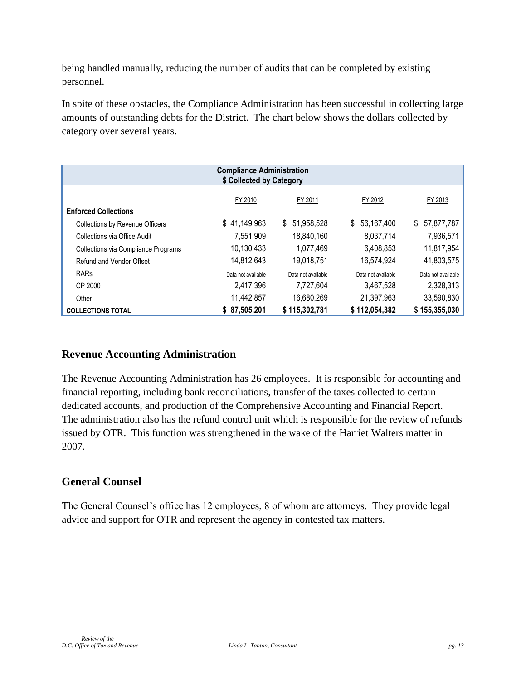being handled manually, reducing the number of audits that can be completed by existing personnel.

In spite of these obstacles, the Compliance Administration has been successful in collecting large amounts of outstanding debts for the District. The chart below shows the dollars collected by category over several years.

| <b>Compliance Administration</b><br>\$ Collected by Category |                    |                    |                    |                    |  |  |  |
|--------------------------------------------------------------|--------------------|--------------------|--------------------|--------------------|--|--|--|
| FY 2010<br>FY 2011<br>FY 2012<br>FY 2013                     |                    |                    |                    |                    |  |  |  |
| <b>Enforced Collections</b>                                  |                    |                    |                    |                    |  |  |  |
| <b>Collections by Revenue Officers</b>                       | \$41,149,963       | \$<br>51,958,528   | 56,167,400<br>\$   | 57,877,787<br>\$   |  |  |  |
| Collections via Office Audit                                 | 7,551,909          | 18,840,160         | 8,037,714          | 7,936,571          |  |  |  |
| Collections via Compliance Programs                          | 10,130,433         | 1,077,469          | 6,408,853          | 11,817,954         |  |  |  |
| Refund and Vendor Offset                                     | 14,812,643         | 19,018,751         | 16,574,924         | 41,803,575         |  |  |  |
| <b>RARs</b>                                                  | Data not available | Data not available | Data not available | Data not available |  |  |  |
| CP 2000                                                      | 2.417.396          | 7.727.604          | 3.467.528          | 2,328,313          |  |  |  |
| Other                                                        | 11,442,857         | 16,680,269         | 21,397,963         | 33,590,830         |  |  |  |
| <b>COLLECTIONS TOTAL</b>                                     | \$87,505,201       | \$115,302,781      | \$112,054,382      | \$155,355,030      |  |  |  |

#### **Revenue Accounting Administration**

The Revenue Accounting Administration has 26 employees. It is responsible for accounting and financial reporting, including bank reconciliations, transfer of the taxes collected to certain dedicated accounts, and production of the Comprehensive Accounting and Financial Report. The administration also has the refund control unit which is responsible for the review of refunds issued by OTR. This function was strengthened in the wake of the Harriet Walters matter in 2007.

#### **General Counsel**

The General Counsel's office has 12 employees, 8 of whom are attorneys. They provide legal advice and support for OTR and represent the agency in contested tax matters.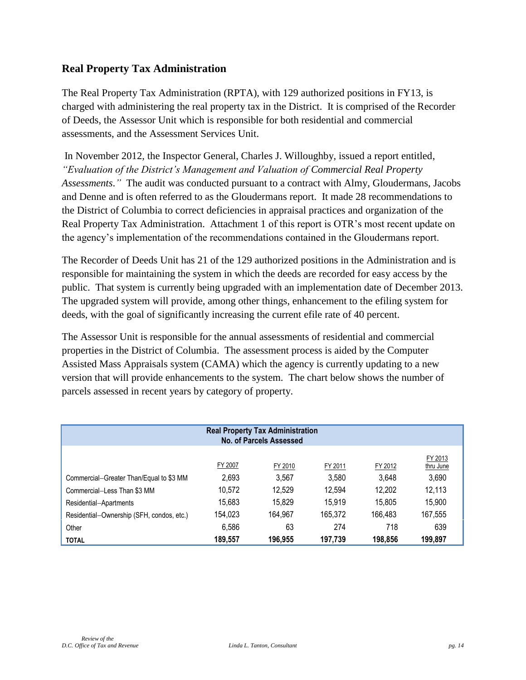#### **Real Property Tax Administration**

The Real Property Tax Administration (RPTA), with 129 authorized positions in FY13, is charged with administering the real property tax in the District. It is comprised of the Recorder of Deeds, the Assessor Unit which is responsible for both residential and commercial assessments, and the Assessment Services Unit.

In November 2012, the Inspector General, Charles J. Willoughby, issued a report entitled, *"Evaluation of the District's Management and Valuation of Commercial Real Property Assessments*.*"* The audit was conducted pursuant to a contract with Almy, Gloudermans, Jacobs and Denne and is often referred to as the Gloudermans report. It made 28 recommendations to the District of Columbia to correct deficiencies in appraisal practices and organization of the Real Property Tax Administration. Attachment 1 of this report is OTR's most recent update on the agency's implementation of the recommendations contained in the Gloudermans report.

The Recorder of Deeds Unit has 21 of the 129 authorized positions in the Administration and is responsible for maintaining the system in which the deeds are recorded for easy access by the public. That system is currently being upgraded with an implementation date of December 2013. The upgraded system will provide, among other things, enhancement to the efiling system for deeds, with the goal of significantly increasing the current efile rate of 40 percent.

The Assessor Unit is responsible for the annual assessments of residential and commercial properties in the District of Columbia. The assessment process is aided by the Computer Assisted Mass Appraisals system (CAMA) which the agency is currently updating to a new version that will provide enhancements to the system. The chart below shows the number of parcels assessed in recent years by category of property.

| <b>Real Property Tax Administration</b><br>No. of Parcels Assessed |         |         |         |         |                      |  |  |
|--------------------------------------------------------------------|---------|---------|---------|---------|----------------------|--|--|
|                                                                    | FY 2007 | FY 2010 | FY 2011 | FY 2012 | FY 2013<br>thru June |  |  |
| Commercial-Greater Than/Equal to \$3 MM                            | 2,693   | 3.567   | 3.580   | 3,648   | 3,690                |  |  |
| Commercial-Less Than \$3 MM                                        | 10.572  | 12.529  | 12,594  | 12,202  | 12,113               |  |  |
| Residential-Apartments                                             | 15,683  | 15,829  | 15,919  | 15,805  | 15,900               |  |  |
| Residential-Ownership (SFH, condos, etc.)                          | 154.023 | 164,967 | 165,372 | 166.483 | 167,555              |  |  |
| Other                                                              | 6,586   | 63      | 274     | 718     | 639                  |  |  |
| <b>TOTAL</b>                                                       | 189,557 | 196.955 | 197,739 | 198.856 | 199,897              |  |  |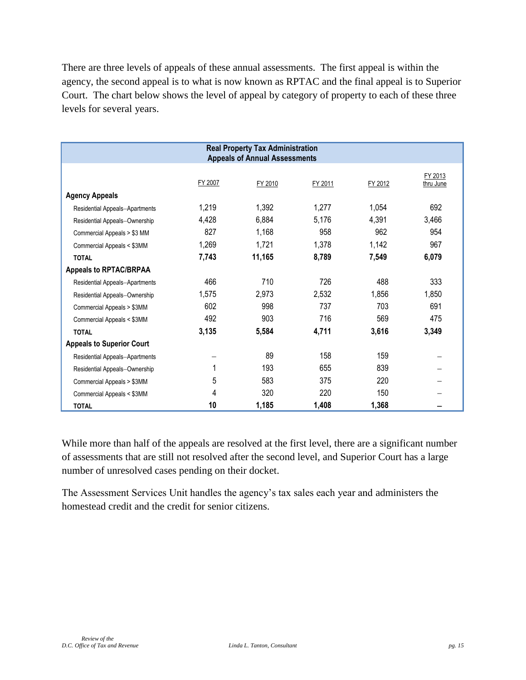There are three levels of appeals of these annual assessments. The first appeal is within the agency, the second appeal is to what is now known as RPTAC and the final appeal is to Superior Court. The chart below shows the level of appeal by category of property to each of these three levels for several years.

| <b>Real Property Tax Administration</b><br><b>Appeals of Annual Assessments</b> |         |         |         |         |                      |  |  |
|---------------------------------------------------------------------------------|---------|---------|---------|---------|----------------------|--|--|
|                                                                                 | FY 2007 | FY 2010 | FY 2011 | FY 2012 | FY 2013<br>thru June |  |  |
| <b>Agency Appeals</b>                                                           |         |         |         |         |                      |  |  |
| Residential Appeals-Apartments                                                  | 1,219   | 1,392   | 1,277   | 1,054   | 692                  |  |  |
| Residential Appeals-Ownership                                                   | 4,428   | 6,884   | 5,176   | 4,391   | 3,466                |  |  |
| Commercial Appeals > \$3 MM                                                     | 827     | 1,168   | 958     | 962     | 954                  |  |  |
| Commercial Appeals < \$3MM                                                      | 1,269   | 1,721   | 1,378   | 1,142   | 967                  |  |  |
| <b>TOTAL</b>                                                                    | 7,743   | 11,165  | 8,789   | 7,549   | 6,079                |  |  |
| <b>Appeals to RPTAC/BRPAA</b>                                                   |         |         |         |         |                      |  |  |
| Residential Appeals-Apartments                                                  | 466     | 710     | 726     | 488     | 333                  |  |  |
| Residential Appeals-Ownership                                                   | 1,575   | 2,973   | 2,532   | 1,856   | 1,850                |  |  |
| Commercial Appeals > \$3MM                                                      | 602     | 998     | 737     | 703     | 691                  |  |  |
| Commercial Appeals < \$3MM                                                      | 492     | 903     | 716     | 569     | 475                  |  |  |
| <b>TOTAL</b>                                                                    | 3,135   | 5,584   | 4,711   | 3,616   | 3,349                |  |  |
| <b>Appeals to Superior Court</b>                                                |         |         |         |         |                      |  |  |
| Residential Appeals-Apartments                                                  |         | 89      | 158     | 159     |                      |  |  |
| Residential Appeals-Ownership                                                   | 1       | 193     | 655     | 839     |                      |  |  |
| Commercial Appeals > \$3MM                                                      | 5       | 583     | 375     | 220     |                      |  |  |
| Commercial Appeals < \$3MM                                                      | 4       | 320     | 220     | 150     |                      |  |  |
| <b>TOTAL</b>                                                                    | 10      | 1,185   | 1,408   | 1,368   |                      |  |  |

While more than half of the appeals are resolved at the first level, there are a significant number of assessments that are still not resolved after the second level, and Superior Court has a large number of unresolved cases pending on their docket.

The Assessment Services Unit handles the agency's tax sales each year and administers the homestead credit and the credit for senior citizens.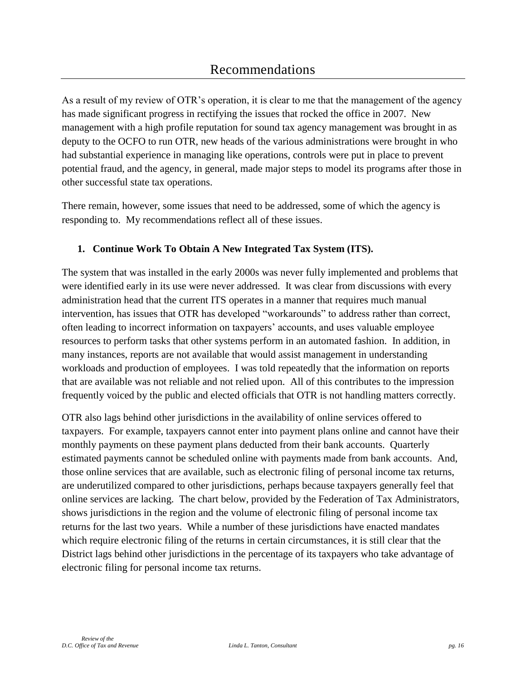As a result of my review of OTR's operation, it is clear to me that the management of the agency has made significant progress in rectifying the issues that rocked the office in 2007. New management with a high profile reputation for sound tax agency management was brought in as deputy to the OCFO to run OTR, new heads of the various administrations were brought in who had substantial experience in managing like operations, controls were put in place to prevent potential fraud, and the agency, in general, made major steps to model its programs after those in other successful state tax operations.

There remain, however, some issues that need to be addressed, some of which the agency is responding to. My recommendations reflect all of these issues.

## **1. Continue Work To Obtain A New Integrated Tax System (ITS).**

The system that was installed in the early 2000s was never fully implemented and problems that were identified early in its use were never addressed. It was clear from discussions with every administration head that the current ITS operates in a manner that requires much manual intervention, has issues that OTR has developed "workarounds" to address rather than correct, often leading to incorrect information on taxpayers' accounts, and uses valuable employee resources to perform tasks that other systems perform in an automated fashion. In addition, in many instances, reports are not available that would assist management in understanding workloads and production of employees. I was told repeatedly that the information on reports that are available was not reliable and not relied upon. All of this contributes to the impression frequently voiced by the public and elected officials that OTR is not handling matters correctly.

OTR also lags behind other jurisdictions in the availability of online services offered to taxpayers. For example, taxpayers cannot enter into payment plans online and cannot have their monthly payments on these payment plans deducted from their bank accounts. Quarterly estimated payments cannot be scheduled online with payments made from bank accounts. And, those online services that are available, such as electronic filing of personal income tax returns, are underutilized compared to other jurisdictions, perhaps because taxpayers generally feel that online services are lacking. The chart below, provided by the Federation of Tax Administrators, shows jurisdictions in the region and the volume of electronic filing of personal income tax returns for the last two years. While a number of these jurisdictions have enacted mandates which require electronic filing of the returns in certain circumstances, it is still clear that the District lags behind other jurisdictions in the percentage of its taxpayers who take advantage of electronic filing for personal income tax returns.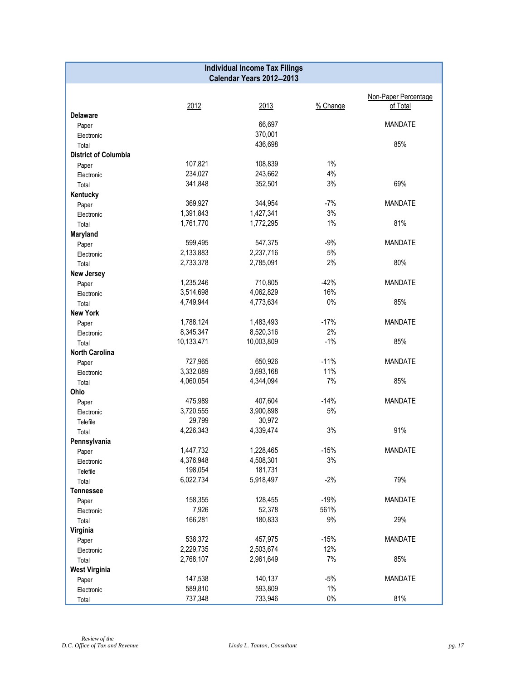|                             | <b>Individual Income Tax Filings</b> |                          |          |                      |  |  |  |  |
|-----------------------------|--------------------------------------|--------------------------|----------|----------------------|--|--|--|--|
|                             |                                      | Calendar Years 2012-2013 |          |                      |  |  |  |  |
|                             |                                      |                          |          |                      |  |  |  |  |
|                             |                                      |                          | % Change | Non-Paper Percentage |  |  |  |  |
| <b>Delaware</b>             | 2012                                 | 2013                     |          | of Total             |  |  |  |  |
| Paper                       |                                      | 66,697                   |          | <b>MANDATE</b>       |  |  |  |  |
| Electronic                  |                                      | 370,001                  |          |                      |  |  |  |  |
| Total                       |                                      | 436,698                  |          | 85%                  |  |  |  |  |
| <b>District of Columbia</b> |                                      |                          |          |                      |  |  |  |  |
| Paper                       | 107,821                              | 108,839                  | 1%       |                      |  |  |  |  |
| Electronic                  | 234,027                              | 243,662                  | 4%       |                      |  |  |  |  |
| Total                       | 341,848                              | 352,501                  | 3%       | 69%                  |  |  |  |  |
| Kentucky                    |                                      |                          |          |                      |  |  |  |  |
| Paper                       | 369,927                              | 344,954                  | $-7%$    | <b>MANDATE</b>       |  |  |  |  |
| Electronic                  | 1,391,843                            | 1,427,341                | 3%       |                      |  |  |  |  |
| Total                       | 1,761,770                            | 1,772,295                | 1%       | 81%                  |  |  |  |  |
| Maryland                    |                                      |                          |          |                      |  |  |  |  |
| Paper                       | 599,495                              | 547,375                  | $-9%$    | <b>MANDATE</b>       |  |  |  |  |
| Electronic                  | 2,133,883                            | 2,237,716                | $5%$     |                      |  |  |  |  |
| Total                       | 2,733,378                            | 2,785,091                | 2%       | 80%                  |  |  |  |  |
| <b>New Jersey</b>           |                                      |                          |          |                      |  |  |  |  |
| Paper                       | 1,235,246                            | 710,805                  | $-42%$   | <b>MANDATE</b>       |  |  |  |  |
| Electronic                  | 3,514,698                            | 4,062,829                | 16%      |                      |  |  |  |  |
| Total                       | 4,749,944                            | 4,773,634                | $0\%$    | 85%                  |  |  |  |  |
| <b>New York</b>             |                                      |                          |          |                      |  |  |  |  |
| Paper                       | 1,788,124                            | 1,483,493                | $-17%$   | <b>MANDATE</b>       |  |  |  |  |
| Electronic                  | 8,345,347                            | 8,520,316                | 2%       |                      |  |  |  |  |
| Total                       | 10,133,471                           | 10,003,809               | $-1%$    | 85%                  |  |  |  |  |
| <b>North Carolina</b>       |                                      |                          |          |                      |  |  |  |  |
| Paper                       | 727,965                              | 650,926                  | $-11%$   | <b>MANDATE</b>       |  |  |  |  |
| Electronic                  | 3,332,089                            | 3,693,168                | 11%      |                      |  |  |  |  |
| Total                       | 4,060,054                            | 4,344,094                | 7%       | 85%                  |  |  |  |  |
| Ohio                        |                                      |                          |          |                      |  |  |  |  |
| Paper                       | 475,989                              | 407,604                  | $-14%$   | <b>MANDATE</b>       |  |  |  |  |
| Electronic                  | 3,720,555                            | 3,900,898                | $5%$     |                      |  |  |  |  |
| Telefile                    | 29,799                               | 30,972                   |          |                      |  |  |  |  |
| Total                       | 4,226,343                            | 4,339,474                | 3%       | 91%                  |  |  |  |  |
| Pennsylvania                |                                      |                          |          |                      |  |  |  |  |
| Paper                       | 1,447,732                            | 1,228,465                | $-15%$   | <b>MANDATE</b>       |  |  |  |  |
| Electronic                  | 4,376,948                            | 4,508,301                | 3%       |                      |  |  |  |  |
| Telefile                    | 198,054                              | 181,731                  |          |                      |  |  |  |  |
| Total                       | 6,022,734                            | 5,918,497                | $-2%$    | 79%                  |  |  |  |  |
| <b>Tennessee</b>            |                                      |                          |          |                      |  |  |  |  |
| Paper                       | 158,355                              | 128,455                  | $-19%$   | <b>MANDATE</b>       |  |  |  |  |
| Electronic                  | 7,926                                | 52,378                   | 561%     |                      |  |  |  |  |
| Total                       | 166,281                              | 180,833                  | 9%       | 29%                  |  |  |  |  |
| Virginia                    |                                      |                          |          |                      |  |  |  |  |
| Paper                       | 538,372                              | 457,975                  | $-15%$   | <b>MANDATE</b>       |  |  |  |  |
| Electronic                  | 2,229,735                            | 2,503,674                | 12%      |                      |  |  |  |  |
| Total                       | 2,768,107                            | 2,961,649                | 7%       | 85%                  |  |  |  |  |
| <b>West Virginia</b>        |                                      |                          |          |                      |  |  |  |  |
| Paper                       | 147,538                              | 140,137                  | $-5%$    | <b>MANDATE</b>       |  |  |  |  |
| Electronic                  | 589,810                              | 593,809                  | $1\%$    |                      |  |  |  |  |
| Total                       | 737,348                              | 733,946                  | $0\%$    | 81%                  |  |  |  |  |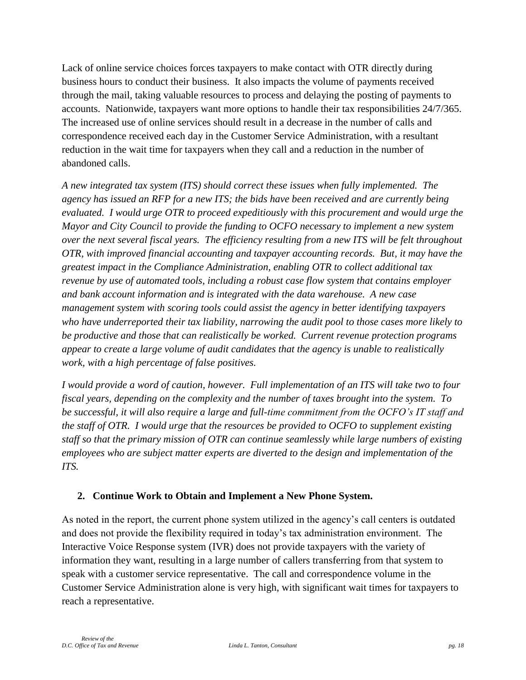Lack of online service choices forces taxpayers to make contact with OTR directly during business hours to conduct their business. It also impacts the volume of payments received through the mail, taking valuable resources to process and delaying the posting of payments to accounts. Nationwide, taxpayers want more options to handle their tax responsibilities 24/7/365. The increased use of online services should result in a decrease in the number of calls and correspondence received each day in the Customer Service Administration, with a resultant reduction in the wait time for taxpayers when they call and a reduction in the number of abandoned calls.

*A new integrated tax system (ITS) should correct these issues when fully implemented. The agency has issued an RFP for a new ITS; the bids have been received and are currently being evaluated. I would urge OTR to proceed expeditiously with this procurement and would urge the Mayor and City Council to provide the funding to OCFO necessary to implement a new system over the next several fiscal years. The efficiency resulting from a new ITS will be felt throughout OTR, with improved financial accounting and taxpayer accounting records. But, it may have the greatest impact in the Compliance Administration, enabling OTR to collect additional tax revenue by use of automated tools, including a robust case flow system that contains employer and bank account information and is integrated with the data warehouse. A new case management system with scoring tools could assist the agency in better identifying taxpayers who have underreported their tax liability, narrowing the audit pool to those cases more likely to be productive and those that can realistically be worked. Current revenue protection programs appear to create a large volume of audit candidates that the agency is unable to realistically work, with a high percentage of false positives.* 

*I would provide a word of caution, however. Full implementation of an ITS will take two to four fiscal years, depending on the complexity and the number of taxes brought into the system. To be successful, it will also require a large and full-time commitment from the OCFO's IT staff and the staff of OTR. I would urge that the resources be provided to OCFO to supplement existing staff so that the primary mission of OTR can continue seamlessly while large numbers of existing employees who are subject matter experts are diverted to the design and implementation of the ITS.*

## **2. Continue Work to Obtain and Implement a New Phone System.**

As noted in the report, the current phone system utilized in the agency's call centers is outdated and does not provide the flexibility required in today's tax administration environment. The Interactive Voice Response system (IVR) does not provide taxpayers with the variety of information they want, resulting in a large number of callers transferring from that system to speak with a customer service representative. The call and correspondence volume in the Customer Service Administration alone is very high, with significant wait times for taxpayers to reach a representative.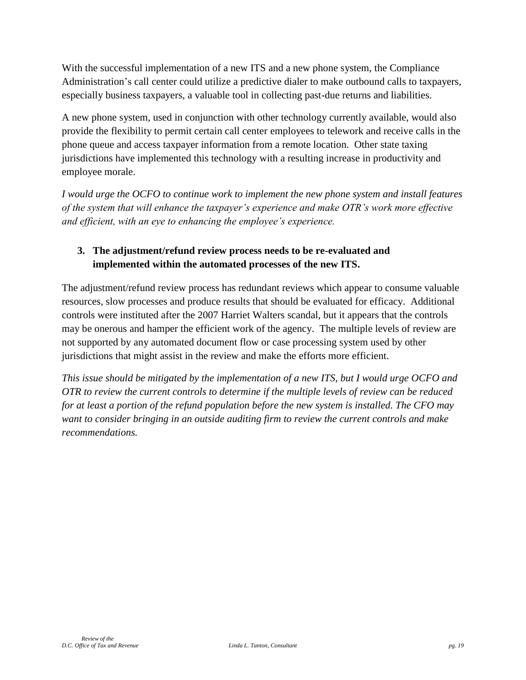With the successful implementation of a new ITS and a new phone system, the Compliance Administration's call center could utilize a predictive dialer to make outbound calls to taxpayers, especially business taxpayers, a valuable tool in collecting past-due returns and liabilities.

A new phone system, used in conjunction with other technology currently available, would also provide the flexibility to permit certain call center employees to telework and receive calls in the phone queue and access taxpayer information from a remote location. Other state taxing jurisdictions have implemented this technology with a resulting increase in productivity and employee morale.

*I would urge the OCFO to continue work to implement the new phone system and install features of the system that will enhance the taxpayer's experience and make OTR's work more effective and efficient, with an eye to enhancing the employee's experience.*

# **3. The adjustment/refund review process needs to be re-evaluated and implemented within the automated processes of the new ITS.**

The adjustment/refund review process has redundant reviews which appear to consume valuable resources, slow processes and produce results that should be evaluated for efficacy. Additional controls were instituted after the 2007 Harriet Walters scandal, but it appears that the controls may be onerous and hamper the efficient work of the agency. The multiple levels of review are not supported by any automated document flow or case processing system used by other jurisdictions that might assist in the review and make the efforts more efficient.

*This issue should be mitigated by the implementation of a new ITS, but I would urge OCFO and OTR to review the current controls to determine if the multiple levels of review can be reduced for at least a portion of the refund population before the new system is installed. The CFO may want to consider bringing in an outside auditing firm to review the current controls and make recommendations.*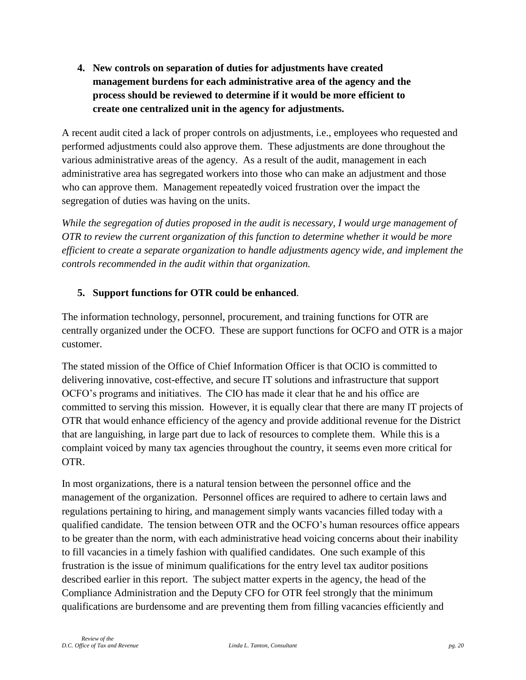**4. New controls on separation of duties for adjustments have created management burdens for each administrative area of the agency and the process should be reviewed to determine if it would be more efficient to create one centralized unit in the agency for adjustments.**

A recent audit cited a lack of proper controls on adjustments, i.e., employees who requested and performed adjustments could also approve them. These adjustments are done throughout the various administrative areas of the agency. As a result of the audit, management in each administrative area has segregated workers into those who can make an adjustment and those who can approve them. Management repeatedly voiced frustration over the impact the segregation of duties was having on the units.

*While the segregation of duties proposed in the audit is necessary, I would urge management of OTR to review the current organization of this function to determine whether it would be more efficient to create a separate organization to handle adjustments agency wide, and implement the controls recommended in the audit within that organization.*

## **5. Support functions for OTR could be enhanced***.*

The information technology, personnel, procurement, and training functions for OTR are centrally organized under the OCFO. These are support functions for OCFO and OTR is a major customer.

The stated mission of the Office of Chief Information Officer is that OCIO is committed to delivering innovative, cost-effective, and secure IT solutions and infrastructure that support OCFO's programs and initiatives. The CIO has made it clear that he and his office are committed to serving this mission. However, it is equally clear that there are many IT projects of OTR that would enhance efficiency of the agency and provide additional revenue for the District that are languishing, in large part due to lack of resources to complete them. While this is a complaint voiced by many tax agencies throughout the country, it seems even more critical for OTR.

In most organizations, there is a natural tension between the personnel office and the management of the organization. Personnel offices are required to adhere to certain laws and regulations pertaining to hiring, and management simply wants vacancies filled today with a qualified candidate. The tension between OTR and the OCFO's human resources office appears to be greater than the norm, with each administrative head voicing concerns about their inability to fill vacancies in a timely fashion with qualified candidates. One such example of this frustration is the issue of minimum qualifications for the entry level tax auditor positions described earlier in this report. The subject matter experts in the agency, the head of the Compliance Administration and the Deputy CFO for OTR feel strongly that the minimum qualifications are burdensome and are preventing them from filling vacancies efficiently and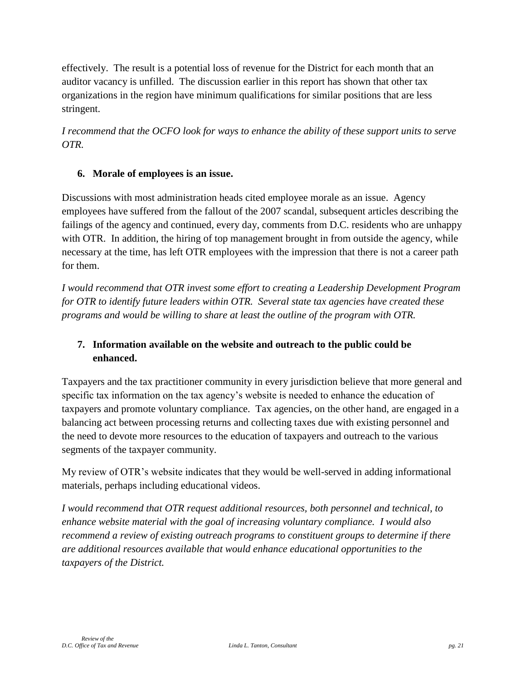effectively. The result is a potential loss of revenue for the District for each month that an auditor vacancy is unfilled. The discussion earlier in this report has shown that other tax organizations in the region have minimum qualifications for similar positions that are less stringent.

*I recommend that the OCFO look for ways to enhance the ability of these support units to serve OTR.*

#### **6. Morale of employees is an issue.**

Discussions with most administration heads cited employee morale as an issue. Agency employees have suffered from the fallout of the 2007 scandal, subsequent articles describing the failings of the agency and continued, every day, comments from D.C. residents who are unhappy with OTR. In addition, the hiring of top management brought in from outside the agency, while necessary at the time, has left OTR employees with the impression that there is not a career path for them.

*I would recommend that OTR invest some effort to creating a Leadership Development Program for OTR to identify future leaders within OTR. Several state tax agencies have created these programs and would be willing to share at least the outline of the program with OTR.* 

## **7. Information available on the website and outreach to the public could be enhanced.**

Taxpayers and the tax practitioner community in every jurisdiction believe that more general and specific tax information on the tax agency's website is needed to enhance the education of taxpayers and promote voluntary compliance. Tax agencies, on the other hand, are engaged in a balancing act between processing returns and collecting taxes due with existing personnel and the need to devote more resources to the education of taxpayers and outreach to the various segments of the taxpayer community.

My review of OTR's website indicates that they would be well-served in adding informational materials, perhaps including educational videos.

*I would recommend that OTR request additional resources, both personnel and technical, to enhance website material with the goal of increasing voluntary compliance. I would also recommend a review of existing outreach programs to constituent groups to determine if there are additional resources available that would enhance educational opportunities to the taxpayers of the District.*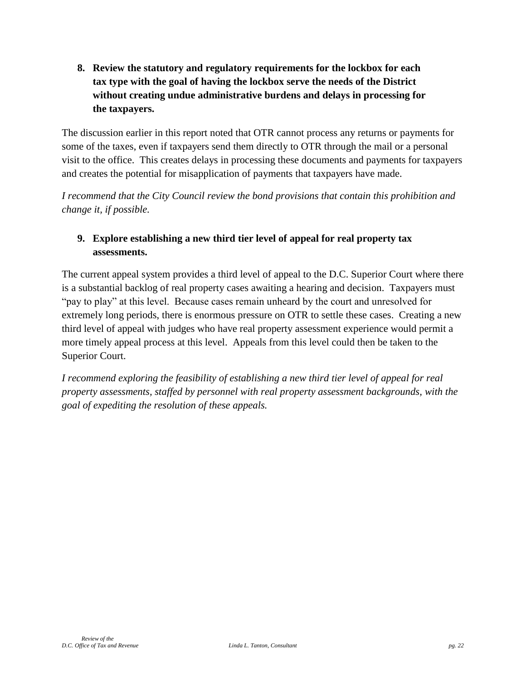**8. Review the statutory and regulatory requirements for the lockbox for each tax type with the goal of having the lockbox serve the needs of the District without creating undue administrative burdens and delays in processing for the taxpayers.**

The discussion earlier in this report noted that OTR cannot process any returns or payments for some of the taxes, even if taxpayers send them directly to OTR through the mail or a personal visit to the office. This creates delays in processing these documents and payments for taxpayers and creates the potential for misapplication of payments that taxpayers have made.

*I recommend that the City Council review the bond provisions that contain this prohibition and change it, if possible.*

# **9. Explore establishing a new third tier level of appeal for real property tax assessments.**

The current appeal system provides a third level of appeal to the D.C. Superior Court where there is a substantial backlog of real property cases awaiting a hearing and decision. Taxpayers must "pay to play" at this level. Because cases remain unheard by the court and unresolved for extremely long periods, there is enormous pressure on OTR to settle these cases. Creating a new third level of appeal with judges who have real property assessment experience would permit a more timely appeal process at this level. Appeals from this level could then be taken to the Superior Court.

*I recommend exploring the feasibility of establishing a new third tier level of appeal for real property assessments, staffed by personnel with real property assessment backgrounds, with the goal of expediting the resolution of these appeals.*